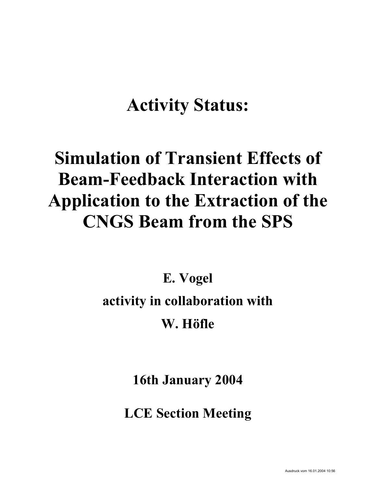# **Activity Status:**

# **Simulation of Transient Effects of Beam-Feedback Interaction with Application to the Extraction of the CNGS Beam from the SPS**

**E. Vogel** 

### **activity in collaboration with**

### **W. Höfle**

**16th January 2004** 

**LCE Section Meeting**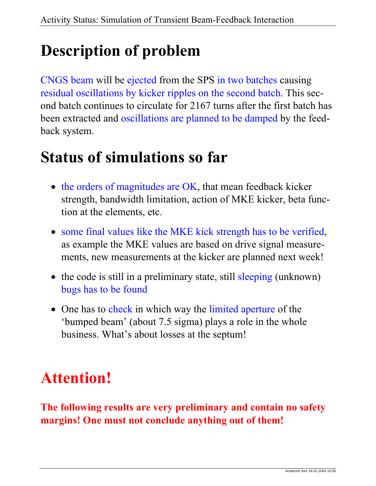## **Description of problem**

CNGS beam will be ejected from the SPS in two batches causing residual oscillations by kicker ripples on the second batch. This second batch continues to circulate for 2167 turns after the first batch has been extracted and oscillations are planned to be damped by the feedback system.

### **Status of simulations so far**

- the orders of magnitudes are OK, that mean feedback kicker strength, bandwidth limitation, action of MKE kicker, beta function at the elements, etc.
- some final values like the MKE kick strength has to be verified, as example the MKE values are based on drive signal measurements, new measurements at the kicker are planned next week!
- the code is still in a preliminary state, still sleeping (unknown) bugs has to be found
- One has to check in which way the limited aperture of the 'bumped beam' (about 7.5 sigma) plays a role in the whole business. What's about losses at the septum!

### **Attention!**

**The following results are very preliminary and contain no safety margins! One must not conclude anything out of them!**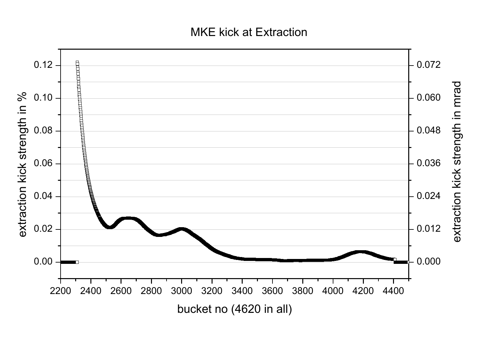#### MKE kick at Extraction

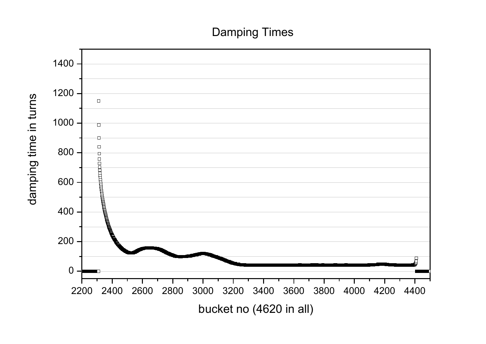### Damping Times

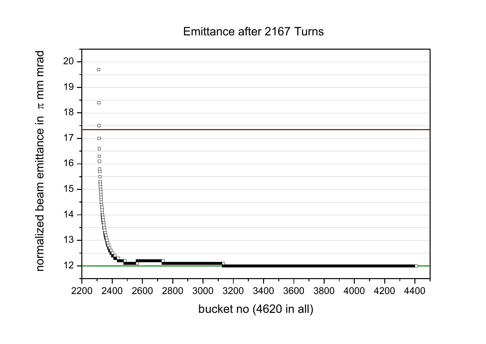#### Emittance after 2167 Turns